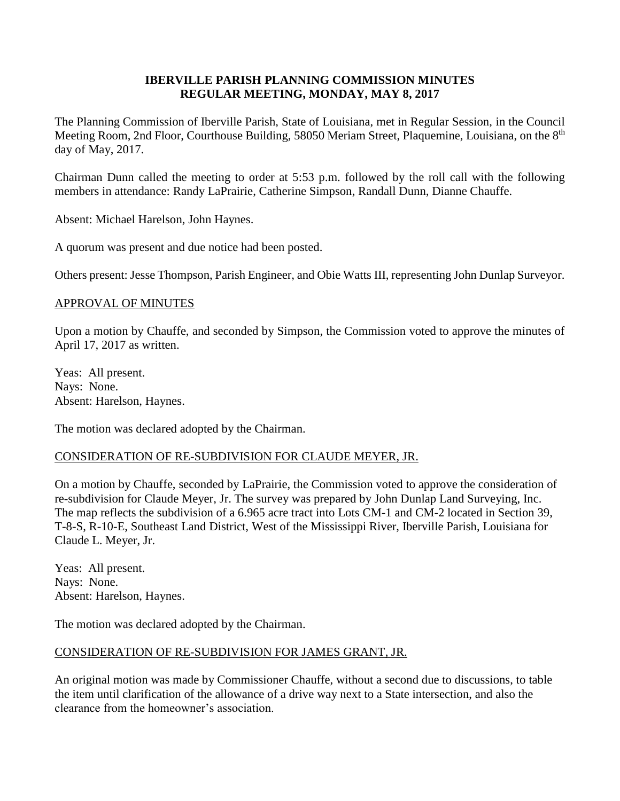#### **IBERVILLE PARISH PLANNING COMMISSION MINUTES REGULAR MEETING, MONDAY, MAY 8, 2017**

The Planning Commission of Iberville Parish, State of Louisiana, met in Regular Session, in the Council Meeting Room, 2nd Floor, Courthouse Building, 58050 Meriam Street, Plaquemine, Louisiana, on the 8<sup>th</sup> day of May, 2017.

Chairman Dunn called the meeting to order at 5:53 p.m. followed by the roll call with the following members in attendance: Randy LaPrairie, Catherine Simpson, Randall Dunn, Dianne Chauffe.

Absent: Michael Harelson, John Haynes.

A quorum was present and due notice had been posted.

Others present: Jesse Thompson, Parish Engineer, and Obie Watts III, representing John Dunlap Surveyor.

#### APPROVAL OF MINUTES

Upon a motion by Chauffe, and seconded by Simpson, the Commission voted to approve the minutes of April 17, 2017 as written.

Yeas: All present. Nays: None. Absent: Harelson, Haynes.

The motion was declared adopted by the Chairman.

# CONSIDERATION OF RE-SUBDIVISION FOR CLAUDE MEYER, JR.

On a motion by Chauffe, seconded by LaPrairie, the Commission voted to approve the consideration of re-subdivision for Claude Meyer, Jr. The survey was prepared by John Dunlap Land Surveying, Inc. The map reflects the subdivision of a 6.965 acre tract into Lots CM-1 and CM-2 located in Section 39, T-8-S, R-10-E, Southeast Land District, West of the Mississippi River, Iberville Parish, Louisiana for Claude L. Meyer, Jr.

Yeas: All present. Nays: None. Absent: Harelson, Haynes.

The motion was declared adopted by the Chairman.

# CONSIDERATION OF RE-SUBDIVISION FOR JAMES GRANT, JR.

An original motion was made by Commissioner Chauffe, without a second due to discussions, to table the item until clarification of the allowance of a drive way next to a State intersection, and also the clearance from the homeowner's association.